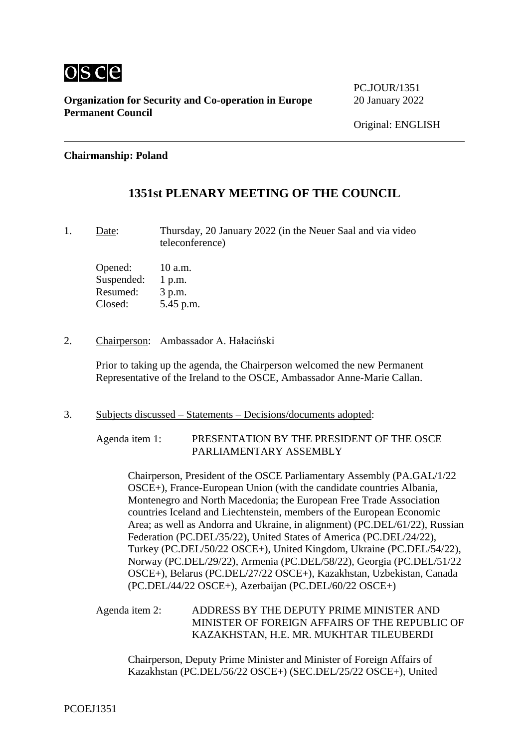

**Organization for Security and Co-operation in Europe** 20 January 2022 **Permanent Council**

PC.JOUR/1351

## **Chairmanship: Poland**

## **1351st PLENARY MEETING OF THE COUNCIL**

1. Date: Thursday, 20 January 2022 (in the Neuer Saal and via video teleconference)

Opened: 10 a.m. Suspended: 1 p.m. Resumed: 3 p.m. Closed: 5.45 p.m.

2. Chairperson: Ambassador A. Hałaciński

Prior to taking up the agenda, the Chairperson welcomed the new Permanent Representative of the Ireland to the OSCE, Ambassador Anne-Marie Callan.

3. Subjects discussed – Statements – Decisions/documents adopted:

Agenda item 1: PRESENTATION BY THE PRESIDENT OF THE OSCE PARLIAMENTARY ASSEMBLY

Chairperson, President of the OSCE Parliamentary Assembly (PA.GAL/1/22 OSCE+), France-European Union (with the candidate countries Albania, Montenegro and North Macedonia; the European Free Trade Association countries Iceland and Liechtenstein, members of the European Economic Area; as well as Andorra and Ukraine, in alignment) (PC.DEL/61/22), Russian Federation (PC.DEL/35/22), United States of America (PC.DEL/24/22), Turkey (PC.DEL/50/22 OSCE+), United Kingdom, Ukraine (PC.DEL/54/22), Norway (PC.DEL/29/22), Armenia (PC.DEL/58/22), Georgia (PC.DEL/51/22 OSCE+), Belarus (PC.DEL/27/22 OSCE+), Kazakhstan, Uzbekistan, Canada (PC.DEL/44/22 OSCE+), Azerbaijan (PC.DEL/60/22 OSCE+)

Agenda item 2: ADDRESS BY THE DEPUTY PRIME MINISTER AND MINISTER OF FOREIGN AFFAIRS OF THE REPUBLIC OF KAZAKHSTAN, H.E. MR. MUKHTAR TILEUBERDI

Chairperson, Deputy Prime Minister and Minister of Foreign Affairs of Kazakhstan (PC.DEL/56/22 OSCE+) (SEC.DEL/25/22 OSCE+), United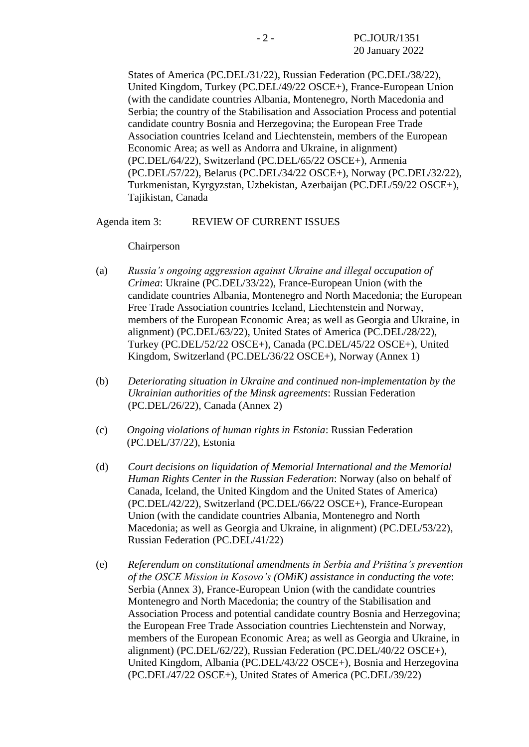States of America (PC.DEL/31/22), Russian Federation (PC.DEL/38/22), United Kingdom, Turkey (PC.DEL/49/22 OSCE+), France-European Union (with the candidate countries Albania, Montenegro, North Macedonia and Serbia; the country of the Stabilisation and Association Process and potential candidate country Bosnia and Herzegovina; the European Free Trade Association countries Iceland and Liechtenstein, members of the European Economic Area; as well as Andorra and Ukraine, in alignment) (PC.DEL/64/22), Switzerland (PC.DEL/65/22 OSCE+), Armenia (PC.DEL/57/22), Belarus (PC.DEL/34/22 OSCE+), Norway (PC.DEL/32/22), Turkmenistan, Kyrgyzstan, Uzbekistan, Azerbaijan (PC.DEL/59/22 OSCE+), Tajikistan, Canada

Agenda item 3: REVIEW OF CURRENT ISSUES

Chairperson

- (a) *Russia's ongoing aggression against Ukraine and illegal occupation of Crimea*: Ukraine (PC.DEL/33/22), France-European Union (with the candidate countries Albania, Montenegro and North Macedonia; the European Free Trade Association countries Iceland, Liechtenstein and Norway, members of the European Economic Area; as well as Georgia and Ukraine, in alignment) (PC.DEL/63/22), United States of America (PC.DEL/28/22), Turkey (PC.DEL/52/22 OSCE+), Canada (PC.DEL/45/22 OSCE+), United Kingdom, Switzerland (PC.DEL/36/22 OSCE+), Norway (Annex 1)
- (b) *Deteriorating situation in Ukraine and continued non-implementation by the Ukrainian authorities of the Minsk agreements*: Russian Federation (PC.DEL/26/22), Canada (Annex 2)
- (c) *Ongoing violations of human rights in Estonia*: Russian Federation (PC.DEL/37/22), Estonia
- (d) *Court decisions on liquidation of Memorial International and the Memorial Human Rights Center in the Russian Federation*: Norway (also on behalf of Canada, Iceland, the United Kingdom and the United States of America) (PC.DEL/42/22), Switzerland (PC.DEL/66/22 OSCE+), France-European Union (with the candidate countries Albania, Montenegro and North Macedonia; as well as Georgia and Ukraine, in alignment) (PC.DEL/53/22), Russian Federation (PC.DEL/41/22)
- (e) *Referendum on constitutional amendments in Serbia and Priština's prevention of the OSCE Mission in Kosovo's (OMiK) assistance in conducting the vote*: Serbia (Annex 3), France-European Union (with the candidate countries Montenegro and North Macedonia; the country of the Stabilisation and Association Process and potential candidate country Bosnia and Herzegovina; the European Free Trade Association countries Liechtenstein and Norway, members of the European Economic Area; as well as Georgia and Ukraine, in alignment) (PC.DEL/62/22), Russian Federation (PC.DEL/40/22 OSCE+), United Kingdom, Albania (PC.DEL/43/22 OSCE+), Bosnia and Herzegovina (PC.DEL/47/22 OSCE+), United States of America (PC.DEL/39/22)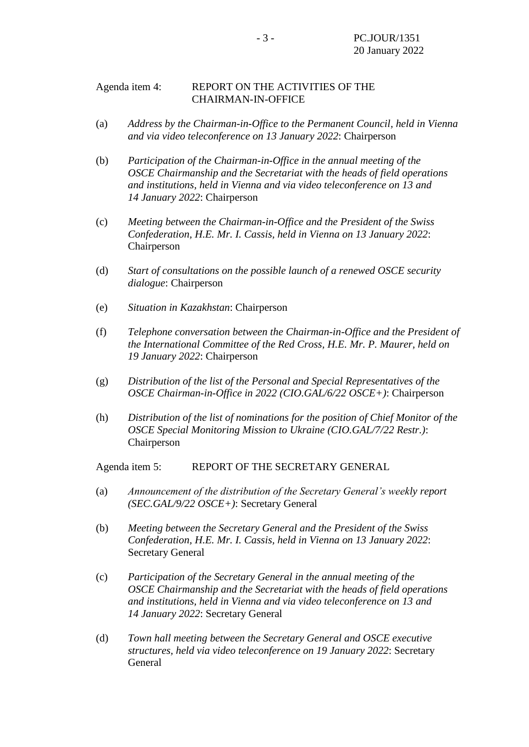## Agenda item 4: REPORT ON THE ACTIVITIES OF THE CHAIRMAN-IN-OFFICE

- (a) *Address by the Chairman-in-Office to the Permanent Council, held in Vienna and via video teleconference on 13 January 2022*: Chairperson
- (b) *Participation of the Chairman-in-Office in the annual meeting of the OSCE Chairmanship and the Secretariat with the heads of field operations and institutions, held in Vienna and via video teleconference on 13 and 14 January 2022*: Chairperson
- (c) *Meeting between the Chairman-in-Office and the President of the Swiss Confederation, H.E. Mr. I. Cassis, held in Vienna on 13 January 2022*: Chairperson
- (d) *Start of consultations on the possible launch of a renewed OSCE security dialogue*: Chairperson
- (e) *Situation in Kazakhstan*: Chairperson
- (f) *Telephone conversation between the Chairman-in-Office and the President of the International Committee of the Red Cross, H.E. Mr. P. Maurer, held on 19 January 2022*: Chairperson
- (g) *Distribution of the list of the Personal and Special Representatives of the OSCE Chairman-in-Office in 2022 (CIO.GAL/6/22 OSCE+)*: Chairperson
- (h) *Distribution of the list of nominations for the position of Chief Monitor of the OSCE Special Monitoring Mission to Ukraine (CIO.GAL/7/22 Restr.)*: Chairperson

Agenda item 5: REPORT OF THE SECRETARY GENERAL

- (a) *Announcement of the distribution of the Secretary General's weekly report (SEC.GAL/9/22 OSCE+)*: Secretary General
- (b) *Meeting between the Secretary General and the President of the Swiss Confederation, H.E. Mr. I. Cassis, held in Vienna on 13 January 2022*: Secretary General
- (c) *Participation of the Secretary General in the annual meeting of the OSCE Chairmanship and the Secretariat with the heads of field operations and institutions, held in Vienna and via video teleconference on 13 and 14 January 2022*: Secretary General
- (d) *Town hall meeting between the Secretary General and OSCE executive structures, held via video teleconference on 19 January 2022*: Secretary General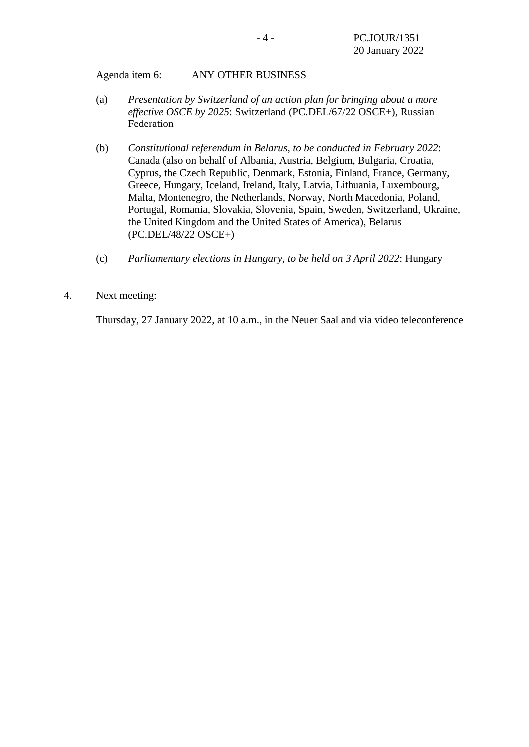Agenda item 6: ANY OTHER BUSINESS

- (a) *Presentation by Switzerland of an action plan for bringing about a more effective OSCE by 2025*: Switzerland (PC.DEL/67/22 OSCE+), Russian Federation
- (b) *Constitutional referendum in Belarus, to be conducted in February 2022*: Canada (also on behalf of Albania, Austria, Belgium, Bulgaria, Croatia, Cyprus, the Czech Republic, Denmark, Estonia, Finland, France, Germany, Greece, Hungary, Iceland, Ireland, Italy, Latvia, Lithuania, Luxembourg, Malta, Montenegro, the Netherlands, Norway, North Macedonia, Poland, Portugal, Romania, Slovakia, Slovenia, Spain, Sweden, Switzerland, Ukraine, the United Kingdom and the United States of America), Belarus (PC.DEL/48/22 OSCE+)
- (c) *Parliamentary elections in Hungary, to be held on 3 April 2022*: Hungary
- 4. Next meeting:

Thursday, 27 January 2022, at 10 a.m., in the Neuer Saal and via video teleconference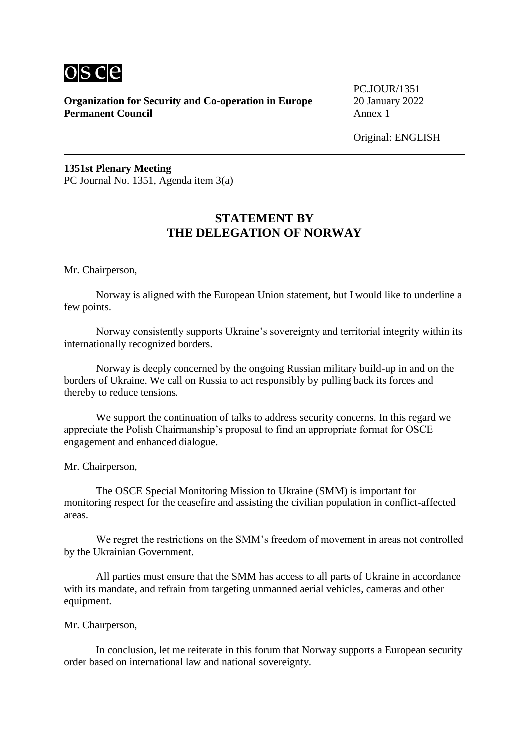

**Organization for Security and Co-operation in Europe** 20 January 2022 **Permanent Council** Annex 1

PC.JOUR/1351

Original: ENGLISH

**1351st Plenary Meeting** PC Journal No. 1351, Agenda item 3(a)

# **STATEMENT BY THE DELEGATION OF NORWAY**

Mr. Chairperson,

Norway is aligned with the European Union statement, but I would like to underline a few points.

Norway consistently supports Ukraine's sovereignty and territorial integrity within its internationally recognized borders.

Norway is deeply concerned by the ongoing Russian military build-up in and on the borders of Ukraine. We call on Russia to act responsibly by pulling back its forces and thereby to reduce tensions.

We support the continuation of talks to address security concerns. In this regard we appreciate the Polish Chairmanship's proposal to find an appropriate format for OSCE engagement and enhanced dialogue.

Mr. Chairperson,

The OSCE Special Monitoring Mission to Ukraine (SMM) is important for monitoring respect for the ceasefire and assisting the civilian population in conflict-affected areas.

We regret the restrictions on the SMM's freedom of movement in areas not controlled by the Ukrainian Government.

All parties must ensure that the SMM has access to all parts of Ukraine in accordance with its mandate, and refrain from targeting unmanned aerial vehicles, cameras and other equipment.

#### Mr. Chairperson,

In conclusion, let me reiterate in this forum that Norway supports a European security order based on international law and national sovereignty.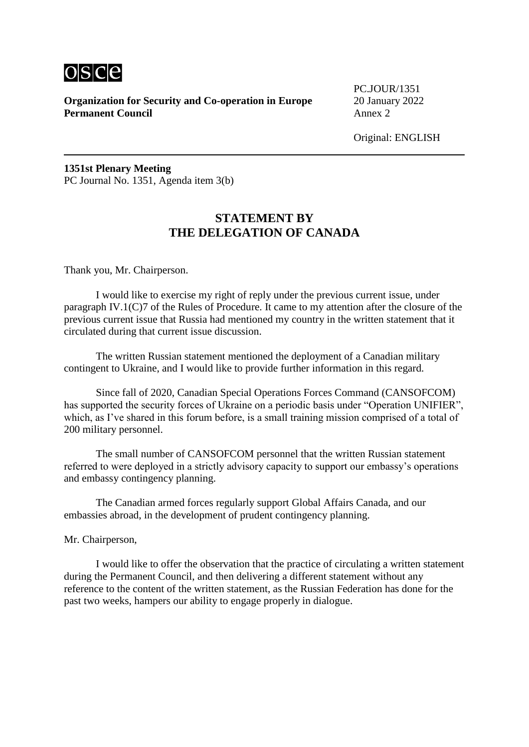

**Organization for Security and Co-operation in Europe** 20 January 2022 **Permanent Council** Annex 2

PC.JOUR/1351

Original: ENGLISH

**1351st Plenary Meeting** PC Journal No. 1351, Agenda item 3(b)

# **STATEMENT BY THE DELEGATION OF CANADA**

Thank you, Mr. Chairperson.

I would like to exercise my right of reply under the previous current issue, under paragraph IV.1(C)7 of the Rules of Procedure. It came to my attention after the closure of the previous current issue that Russia had mentioned my country in the written statement that it circulated during that current issue discussion.

The written Russian statement mentioned the deployment of a Canadian military contingent to Ukraine, and I would like to provide further information in this regard.

Since fall of 2020, Canadian Special Operations Forces Command (CANSOFCOM) has supported the security forces of Ukraine on a periodic basis under "Operation UNIFIER", which, as I've shared in this forum before, is a small training mission comprised of a total of 200 military personnel.

The small number of CANSOFCOM personnel that the written Russian statement referred to were deployed in a strictly advisory capacity to support our embassy's operations and embassy contingency planning.

The Canadian armed forces regularly support Global Affairs Canada, and our embassies abroad, in the development of prudent contingency planning.

Mr. Chairperson,

I would like to offer the observation that the practice of circulating a written statement during the Permanent Council, and then delivering a different statement without any reference to the content of the written statement, as the Russian Federation has done for the past two weeks, hampers our ability to engage properly in dialogue.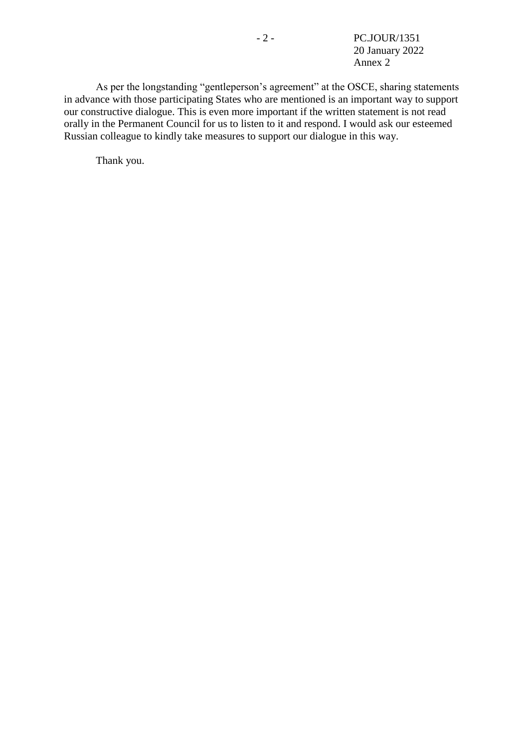- 2 - PC.JOUR/1351 20 January 2022 Annex 2

As per the longstanding "gentleperson's agreement" at the OSCE, sharing statements in advance with those participating States who are mentioned is an important way to support our constructive dialogue. This is even more important if the written statement is not read orally in the Permanent Council for us to listen to it and respond. I would ask our esteemed Russian colleague to kindly take measures to support our dialogue in this way.

Thank you.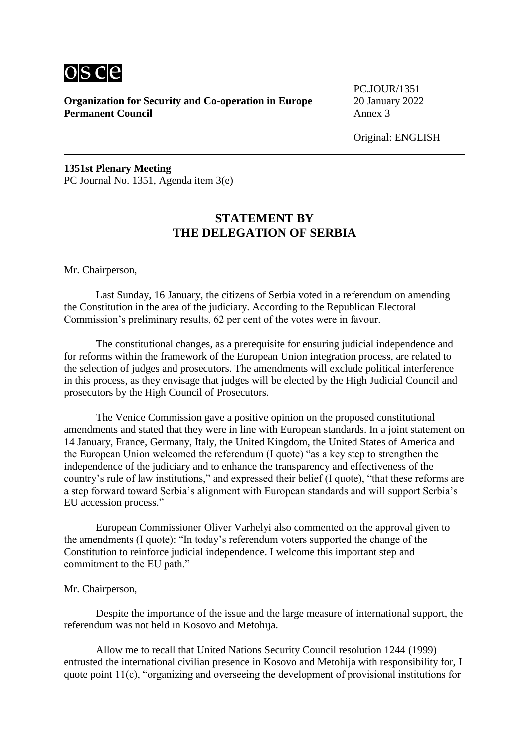

**Organization for Security and Co-operation in Europe** 20 January 2022 **Permanent Council** Annex 3

PC.JOUR/1351

Original: ENGLISH

**1351st Plenary Meeting** PC Journal No. 1351, Agenda item 3(e)

# **STATEMENT BY THE DELEGATION OF SERBIA**

Mr. Chairperson,

Last Sunday, 16 January, the citizens of Serbia voted in a referendum on amending the Constitution in the area of the judiciary. According to the Republican Electoral Commission's preliminary results, 62 per cent of the votes were in favour.

The constitutional changes, as a prerequisite for ensuring judicial independence and for reforms within the framework of the European Union integration process, are related to the selection of judges and prosecutors. The amendments will exclude political interference in this process, as they envisage that judges will be elected by the High Judicial Council and prosecutors by the High Council of Prosecutors.

The Venice Commission gave a positive opinion on the proposed constitutional amendments and stated that they were in line with European standards. In a joint statement on 14 January, France, Germany, Italy, the United Kingdom, the United States of America and the European Union welcomed the referendum (I quote) "as a key step to strengthen the independence of the judiciary and to enhance the transparency and effectiveness of the country's rule of law institutions," and expressed their belief (I quote), "that these reforms are a step forward toward Serbia's alignment with European standards and will support Serbia's EU accession process."

European Commissioner Oliver Varhelyi also commented on the approval given to the amendments (I quote): "In today's referendum voters supported the change of the Constitution to reinforce judicial independence. I welcome this important step and commitment to the EU path."

#### Mr. Chairperson,

Despite the importance of the issue and the large measure of international support, the referendum was not held in Kosovo and Metohija.

Allow me to recall that United Nations Security Council resolution 1244 (1999) entrusted the international civilian presence in Kosovo and Metohija with responsibility for, I quote point 11(c), "organizing and overseeing the development of provisional institutions for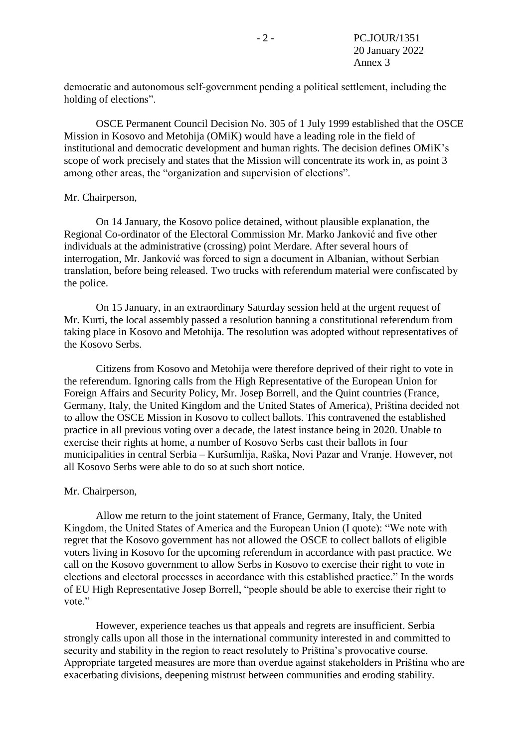democratic and autonomous self‑government pending a political settlement, including the holding of elections".

OSCE Permanent Council Decision No. 305 of 1 July 1999 established that the OSCE Mission in Kosovo and Metohija (OMiK) would have a leading role in the field of institutional and democratic development and human rights. The decision defines OMiK's scope of work precisely and states that the Mission will concentrate its work in, as point 3 among other areas, the "organization and supervision of elections".

#### Mr. Chairperson,

On 14 January, the Kosovo police detained, without plausible explanation, the Regional Co-ordinator of the Electoral Commission Mr. Marko Janković and five other individuals at the administrative (crossing) point Merdare. After several hours of interrogation, Mr. Janković was forced to sign a document in Albanian, without Serbian translation, before being released. Two trucks with referendum material were confiscated by the police.

On 15 January, in an extraordinary Saturday session held at the urgent request of Mr. Kurti, the local assembly passed a resolution banning a constitutional referendum from taking place in Kosovo and Metohija. The resolution was adopted without representatives of the Kosovo Serbs.

Citizens from Kosovo and Metohija were therefore deprived of their right to vote in the referendum. Ignoring calls from the High Representative of the European Union for Foreign Affairs and Security Policy, Mr. Josep Borrell, and the Quint countries (France, Germany, Italy, the United Kingdom and the United States of America), Priština decided not to allow the OSCE Mission in Kosovo to collect ballots. This contravened the established practice in all previous voting over a decade, the latest instance being in 2020. Unable to exercise their rights at home, a number of Kosovo Serbs cast their ballots in four municipalities in central Serbia – Kuršumlija, Raška, Novi Pazar and Vranje. However, not all Kosovo Serbs were able to do so at such short notice.

#### Mr. Chairperson,

Allow me return to the joint statement of France, Germany, Italy, the United Kingdom, the United States of America and the European Union (I quote): "We note with regret that the Kosovo government has not allowed the OSCE to collect ballots of eligible voters living in Kosovo for the upcoming referendum in accordance with past practice. We call on the Kosovo government to allow Serbs in Kosovo to exercise their right to vote in elections and electoral processes in accordance with this established practice." In the words of EU High Representative Josep Borrell, "people should be able to exercise their right to vote."

However, experience teaches us that appeals and regrets are insufficient. Serbia strongly calls upon all those in the international community interested in and committed to security and stability in the region to react resolutely to Priština's provocative course. Appropriate targeted measures are more than overdue against stakeholders in Priština who are exacerbating divisions, deepening mistrust between communities and eroding stability.